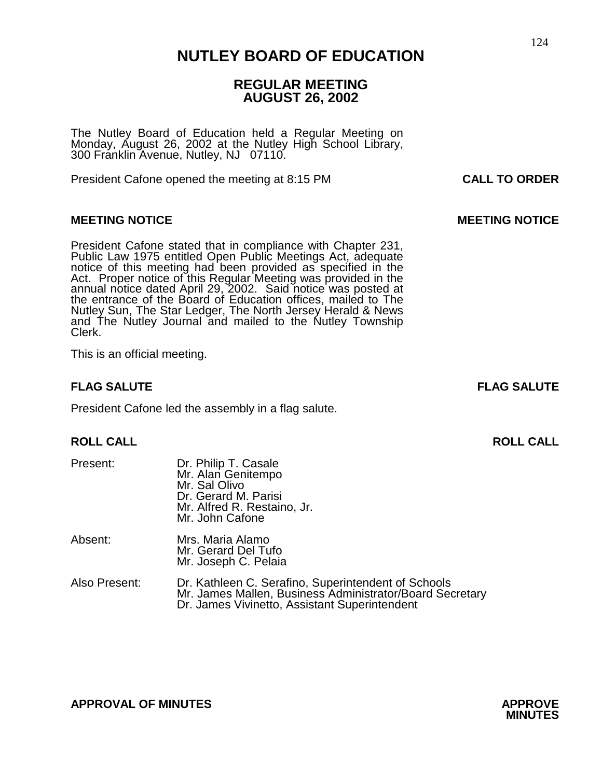### 124 **NUTLEY BOARD OF EDUCATION**

### **REGULAR MEETING AUGUST 26, 2002**

The Nutley Board of Education held a Regular Meeting on Monday, August 26, 2002 at the Nutley High School Library, 300 Franklin Avenue, Nutley, NJ 07110.

President Cafone opened the meeting at 8:15 PM **CALL TO ORDER**

### **MEETING NOTICE CONSUMING AND LOCAL CONSUMING A LOCAL CONSUMING MOTICE**

President Cafone stated that in compliance with Chapter 231, Public Law 1975 entitled Open Public Meetings Act, adequate notice of this meeting had been provided as specified in the Act. Proper notice of this Regular Meeting was provided in the annual notice dated April 29, 2002. Said notice was posted at the entrance of the Board of Education offices, mailed to The Nutley Sun, The Star Ledger, The North Jersey Herald & News and The Nutley Journal and mailed to the Nutley Township Clerk.

This is an official meeting.

### **FLAG SALUTE FLAG SALUTE**

President Cafone led the assembly in a flag salute.

### **ROLL CALL ROLL CALL**

| Present:      | Dr. Philip T. Casale<br>Mr. Alan Genitempo<br>Mr. Sal Olivo<br>Dr. Gerard M. Parisi<br>Mr. Alfred R. Restaino, Jr.<br>Mr. John Cafone |
|---------------|---------------------------------------------------------------------------------------------------------------------------------------|
| Absent:       | Mrs. Maria Alamo<br>Mr. Gerard Del Tufo<br>Mr. Joseph C. Pelaia                                                                       |
| Also Present: | Dr. Kathleen C. Serafino. Superintendent of Schools                                                                                   |

Mr. James Mallen, Business Administrator/Board Secretary Dr. James Vivinetto, Assistant Superintendent

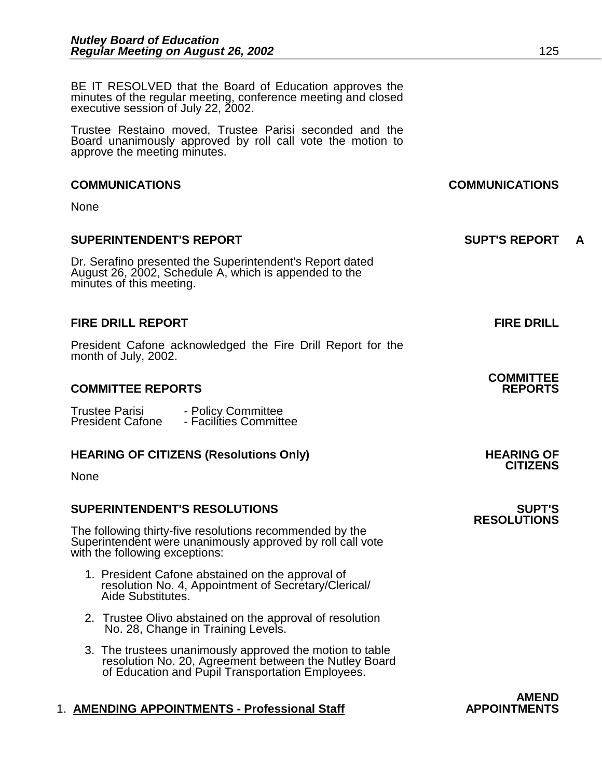BE IT RESOLVED that the Board of Education approves the minutes of the regular meeting, conference meeting and closed executive session of July 22, 2002.

Trustee Restaino moved, Trustee Parisi seconded and the Board unanimously approved by roll call vote the motion to approve the meeting minutes.

#### **COMMUNICATIONS COMMUNICATIONS**

None

### **SUPERINTENDENT'S REPORT SUPT'S REPORT A**

Dr. Serafino presented the Superintendent's Report dated August 26, 2002, Schedule A, which is appended to the minutes of this meeting.

#### **FIRE DRILL REPORT FIRE DRILL**

President Cafone acknowledged the Fire Drill Report for the month of July, 2002.

### **COMMITTEE REPORTS REPORTS**

| <b>Trustee Parisi</b>   | - Policy Committee     |
|-------------------------|------------------------|
| <b>President Cafone</b> | - Facilities Committee |

### **HEARING OF CITIZENS (Resolutions Only) HEARING OF CITIZENS**

None

### **SUPERINTENDENT'S RESOLUTIONS SUPT'S**

The following thirty-five resolutions recommended by the Superintendent were unanimously approved by roll call vote with the following exceptions:

- 1. President Cafone abstained on the approval of resolution No. 4, Appointment of Secretary/Clerical/ Aide Substitutes.
- 2. Trustee Olivo abstained on the approval of resolution No. 28, Change in Training Levels.
- 3. The trustees unanimously approved the motion to table resolution No. 20, Agreement between the Nutley Board of Education and Pupil Transportation Employees.

### 1. **AMENDING APPOINTMENTS - Professional Staff APPOINTMENTS**

**AMEND** 

# **COMMITTEE**

## **RESOLUTIONS**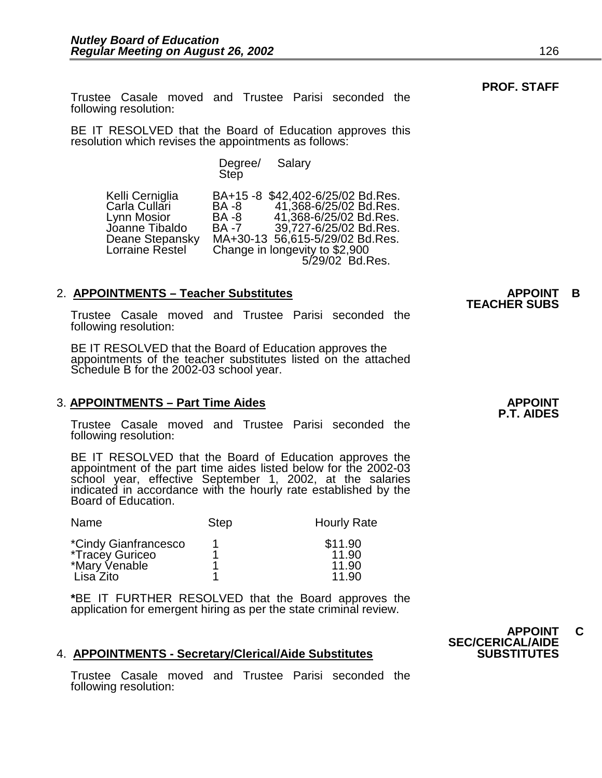Trustee Casale moved and Trustee Parisi seconded the following resolution:

BE IT RESOLVED that the Board of Education approves this resolution which revises the appointments as follows:

Degree/ Salary<br>Step

Kelli Cerniglia BA+15 -8 \$42,402-6/25/02 Bd.Res. Carla Cullari BA -8 41,368-6/25/02 Bd.Res. Lynn Mosior BA -8 41,368-6/25/02 Bd.Res. Jóanne Tibaldo BA -7 39,727-6/25/02 Bd.Res.<br>Deane Stepansky MA+30-13 56,615-5/29/02 Bd.Res. Deane Stepansky MA+30-13 56,615-5/29/02 Bd.Res.<br>Lorraine Restel Change in longevity to \$2,900 Change in longevity to \$2,900 5/29/02 Bd.Res.

2. **APPOINTMENTS – Teacher Substitutes APPOINT B TEACHER SUBS** Trustee Casale moved and Trustee Parisi seconded the following resolution:

BE IT RESOLVED that the Board of Education approves the appointments of the teacher substitutes listed on the attached Schedule B for the 2002-03 school year.

### 3. APPOINTMENTS – Part Time Aides **APPOINT APPOINT**

Trustee Casale moved and Trustee Parisi seconded the following resolution:

BE IT RESOLVED that the Board of Education approves the appointment of the part time aides listed below for the 2002-03 school year, effective September 1, 2002, at the salaries indicated in accordance with the hourly rate established by the Board of Education.

| Name                                                                         | <b>Step</b> | <b>Hourly Rate</b>                 |
|------------------------------------------------------------------------------|-------------|------------------------------------|
| *Cindy Gianfrancesco<br><i>*Tracey Guriceo</i><br>*Mary Venable<br>Lisa Zito |             | \$11.90<br>11.90<br>11.90<br>11.90 |

**\***BE IT FURTHER RESOLVED that the Board approves the application for emergent hiring as per the state criminal review.

#### 4. **APPOINTMENTS - Secretary/Clerical/Aide Substitutes**

Trustee Casale moved and Trustee Parisi seconded the following resolution:

**P.T. AIDES**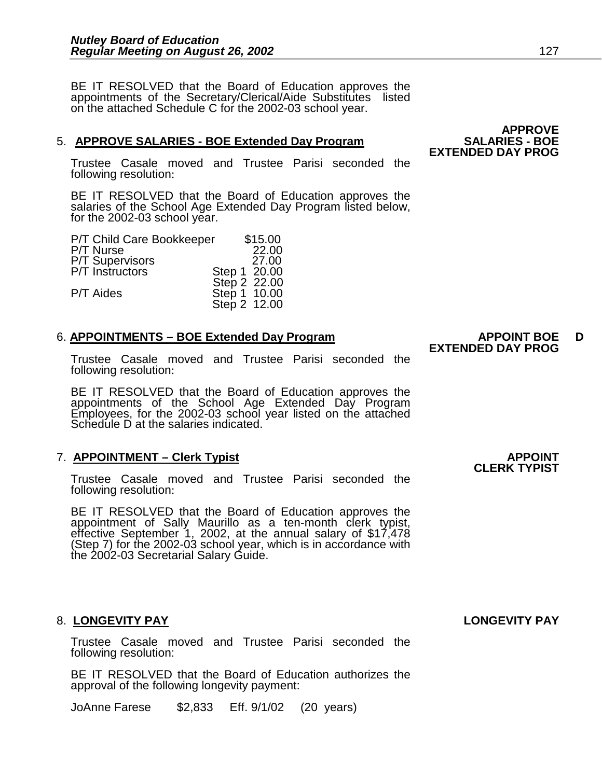BE IT RESOLVED that the Board of Education approves the appointments of the Secretary/Clerical/Aide Substitutes listed on the attached Schedule C for the 2002-03 school year.

### 5. **APPROVE SALARIES - BOE Extended Day Program SALARIES - BOE**

Trustee Casale moved and Trustee Parisi seconded the following resolution:

BE IT RESOLVED that the Board of Education approves the salaries of the School Age Extended Day Program listed below, for the 2002-03 school year.

| \$15.00<br>P/T Child Care Bookkeeper |                                                              |
|--------------------------------------|--------------------------------------------------------------|
| 22.00                                |                                                              |
| 27.00                                |                                                              |
|                                      |                                                              |
|                                      |                                                              |
|                                      |                                                              |
|                                      |                                                              |
|                                      | Step 1 20.00<br>Step 2 22.00<br>Step 1 10.00<br>Step 2 12.00 |

### 6. APPOINTMENTS – BOE Extended Day Program **APPOINT BOE** D

Trustee Casale moved and Trustee Parisi seconded the following resolution:

BE IT RESOLVED that the Board of Education approves the appointments of the School Age Extended Day Program Employees, for the 2002-03 school year listed on the attached Schedule D at the salaries indicated.

### 7. **APPOINTMENT – Clerk Typist APPOINT**

Trustee Casale moved and Trustee Parisi seconded the following resolution:

BE IT RESOLVED that the Board of Education approves the appointment of Sally Maurillo as a ten-month clerk typist, effective September 1, 2002, at the annual salary of \$17,478 (Step 7) for the 2002-03 school year, which is in accordance with the 2002-03 Secretarial Salary Guide.

### 8. **LONGEVITY PAY LONGEVITY PAY**

Trustee Casale moved and Trustee Parisi seconded the following resolution:

BE IT RESOLVED that the Board of Education authorizes the approval of the following longevity payment:

JoAnne Farese \$2,833 Eff. 9/1/02 (20 years)

**APPROVE EXTENDED DAY PROG** 

## **EXTENDED DAY PROG**

## **CLERK TYPIST**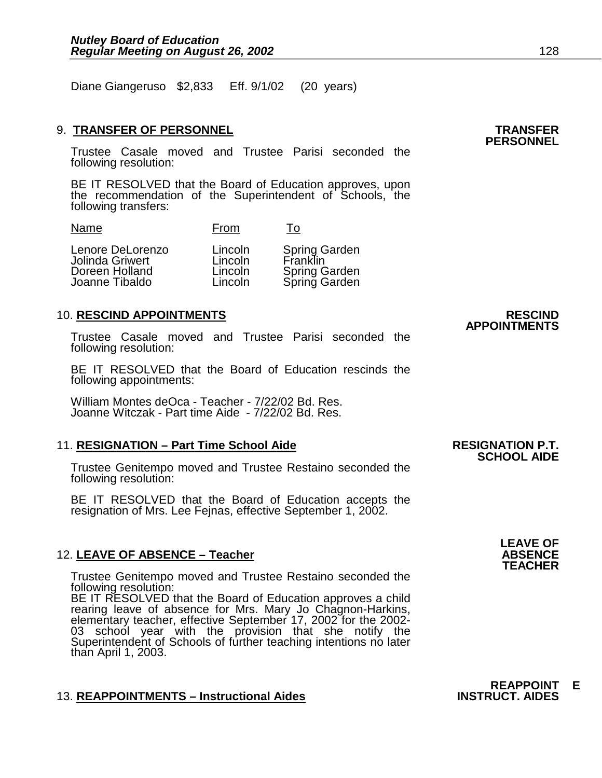Diane Giangeruso \$2,833 Eff. 9/1/02 (20 years)

### 9. **TRANSFER OF PERSONNEL TRANSFER PERSONNEL**

Trustee Casale moved and Trustee Parisi seconded the following resolution:

BE IT RESOLVED that the Board of Education approves, upon the recommendation of the Superintendent of Schools, the following transfers:

| Lenore DeLorenzo<br>Jolinda Griwert<br>Doreen Holland<br>Joanne Tibaldo | Lincoln<br>Lincoln<br>Lincoln<br>Lincoln | <b>Spring Garden</b><br>Franklin<br>Spring Garden<br>Spring Garden |
|-------------------------------------------------------------------------|------------------------------------------|--------------------------------------------------------------------|
|                                                                         |                                          |                                                                    |

Name From To

### 10. **RESCIND APPOINTMENTS RESCIND**

Trustee Casale moved and Trustee Parisi seconded the following resolution:

BE IT RESOLVED that the Board of Education rescinds the following appointments:

William Montes deOca - Teacher - 7/22/02 Bd. Res. Joanne Witczak - Part time Aide - 7/22/02 Bd. Res.

### 11. **RESIGNATION – Part Time School Aide RESIGNATION P.T. SCHOOL AIDE**

Trustee Genitempo moved and Trustee Restaino seconded the following resolution:

BE IT RESOLVED that the Board of Education accepts the resignation of Mrs. Lee Fejnas, effective September 1, 2002.

### 12. **LEAVE OF ABSENCE – Teacher ABSENCE TEACHER**

Trustee Genitempo moved and Trustee Restaino seconded the following resolution:

BE IT RESOLVED that the Board of Education approves a child rearing leave of absence for Mrs. Mary Jo Chagnon-Harkins, elementary teacher, effective September 17, 2002 for the 2002- 03 school year with the provision that she notify the Superintendent of Schools of further teaching intentions no later than April 1, 2003.

### 13. REAPPOINTMENTS - Instructional Aides

**REAPPOINT E** 





## **APPOINTMENTS**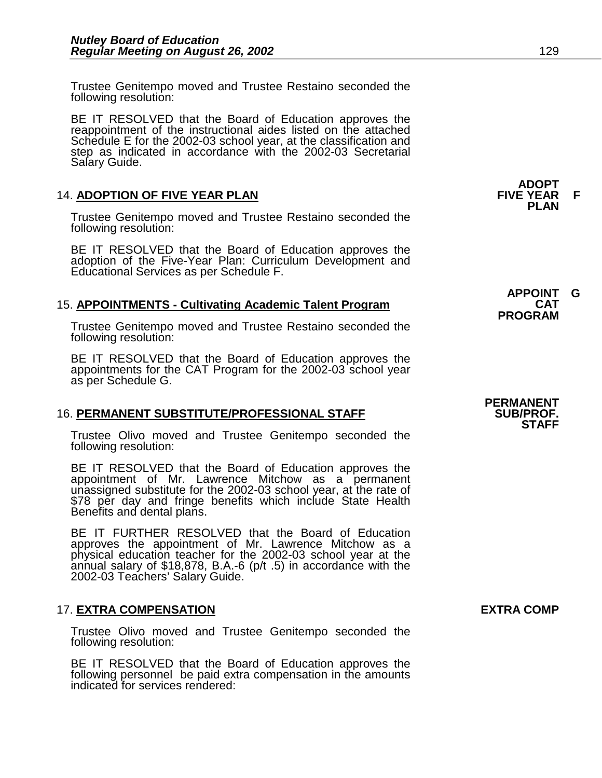Trustee Genitempo moved and Trustee Restaino seconded the following resolution:

BE IT RESOLVED that the Board of Education approves the reappointment of the instructional aides listed on the attached Schedule E for the 2002-03 school year, at the classification and step as indicated in accordance with the 2002-03 Secretarial Salary Guide.

### 14. **ADOPTION OF FIVE YEAR PLAN FIVE YEAR F PLAN**

Trustee Genitempo moved and Trustee Restaino seconded the following resolution:

BE IT RESOLVED that the Board of Education approves the adoption of the Five-Year Plan: Curriculum Development and Educational Services as per Schedule F.

### 15. **APPOINTMENTS - Cultivating Academic Talent Program CAT PROGRAM**

Trustee Genitempo moved and Trustee Restaino seconded the following resolution:

BE IT RESOLVED that the Board of Education approves the appointments for the CAT Program for the 2002-03 school year as per Schedule G.

### 16. **PERMANENT SUBSTITUTE/PROFESSIONAL STAFF SUB/PROF. STAFF**

Trustee Olivo moved and Trustee Genitempo seconded the following resolution:

BE IT RESOLVED that the Board of Education approves the appointment of Mr. Lawrence Mitchow as a permanent unassigned substitute for the 2002-03 school year, at the rate of \$78 per day and fringe benefits which include State Health Benefits and dental plans.

 BE IT FURTHER RESOLVED that the Board of Education approves the appointment of Mr. Lawrence Mitchow as a physical education teacher for the 2002-03 school year at the annual salary of \$18,878, B.A.-6 ( $p/t$  .5) in accordance with the 2002-03 Teachers' Salary Guide.

### 17. **EXTRA COMPENSATION EXTRA COMP**

Trustee Olivo moved and Trustee Genitempo seconded the following resolution:

BE IT RESOLVED that the Board of Education approves the following personnel be paid extra compensation in the amounts indicated for services rendered:

**ADOPT** 

**APPOINT G** 

**PERMANENT**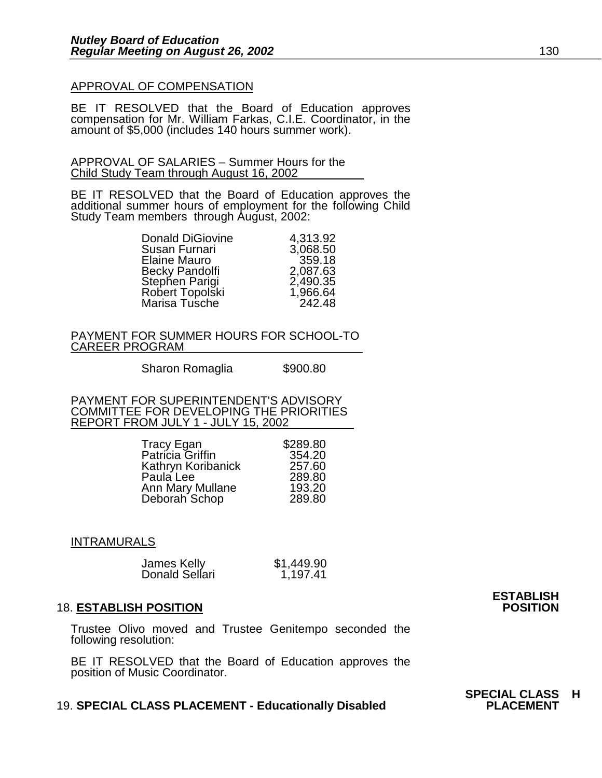### APPROVAL OF COMPENSATION

BE IT RESOLVED that the Board of Education approves compensation for Mr. William Farkas, C.I.E. Coordinator, in the amount of \$5,000 (includes 140 hours summer work).

APPROVAL OF SALARIES – Summer Hours for the Child Study Team through August 16, 2002

BE IT RESOLVED that the Board of Education approves the additional summer hours of employment for the following Child Study Team members through August, 2002:

| <b>Donald DiGiovine</b> | 4,313.92 |
|-------------------------|----------|
| Susan Furnari           | 3,068.50 |
| Elaine Mauro            | 359.18   |
| Becky Pandolfi          | 2,087.63 |
| Stephen Parigi          | 2,490.35 |
| Robert Topolski         | 1,966.64 |
| Marisa Tusche           | 242.48   |

PAYMENT FOR SUMMER HOURS FOR SCHOOL-TO CAREER PROGRAM

Sharon Romaglia  $$900.80$ 

PAYMENT FOR SUPERINTENDENT'S ADVISORY COMMITTEE FOR DEVELOPING THE PRIORITIES REPORT FROM JULY 1 - JULY 15, 2002

| Tracy Egan               | \$289.80 |
|--------------------------|----------|
| Patricia Griffin         | 354.20   |
| Kathryn Koribanick       | 257.60   |
| Paula Lee                | 289.80   |
| Ann Mary Mullane         | 193.20   |
| Deborah <sup>Schop</sup> | 289.80   |

### INTRAMURALS

| James Kelly    | \$1,449.90 |
|----------------|------------|
| Donald Sellari | 1,197.41   |

#### **18. ESTABLISH POSITION**

Trustee Olivo moved and Trustee Genitempo seconded the following resolution:

BE IT RESOLVED that the Board of Education approves the position of Music Coordinator.

#### **19. SPECIAL CLASS PLACEMENT - Educationally Disabled**

**ESTABLISH** 

**SPECIAL CLASS H**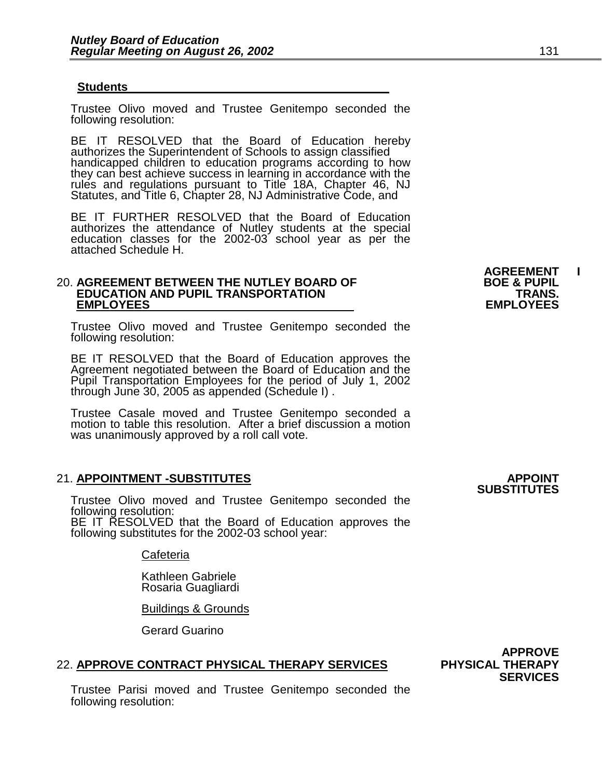#### **Students**

Trustee Olivo moved and Trustee Genitempo seconded the following resolution:

BE IT RESOLVED that the Board of Education hereby authorizes the Superintendent of Schools to assign classified handicapped children to education programs according to how they can best achieve success in learning in accordance with the rules and regulations pursuant to Title 18A, Chapter 46, NJ Statutes, and Title 6, Chapter 28, NJ Administrative Code, and

BE IT FURTHER RESOLVED that the Board of Education authorizes the attendance of Nutley students at the special education classes for the 2002-03 school year as per the attached Schedule H.

#### 20. **AGREEMENT BETWEEN THE NUTLEY BOARD OF BOE & PUPIL EDUCATION AND PUPIL TRANSPORTATION FRANS.**<br>EMPLOYEES EMPLOYEES  **EMPLOYEES EMPLOYEES**

Trustee Olivo moved and Trustee Genitempo seconded the following resolution:

BE IT RESOLVED that the Board of Education approves the Agreement negotiated between the Board of Education and the Pupil Transportation Employees for the period of July 1, 2002 through June 30, 2005 as appended (Schedule I) .

Trustee Casale moved and Trustee Genitempo seconded a motion to table this resolution. After a brief discussion a motion was unanimously approved by a roll call vote.

### 21. **APPOINTMENT -SUBSTITUTES APPOINT**

Trustee Olivo moved and Trustee Genitempo seconded the following resolution: BE IT RESOLVED that the Board of Education approves the following substitutes for the 2002-03 school year:

Cafeteria

 Kathleen Gabriele Rosaria Guagliardi

Buildings & Grounds

Gerard Guarino

#### 22. **APPROVE CONTRACT PHYSICAL THERAPY SERVICES PHYSICAL THERAPY**

Trustee Parisi moved and Trustee Genitempo seconded the following resolution:

**AGREEMENT I** 

## **SUBSTITUTES**

 **APPROVE SERVICES**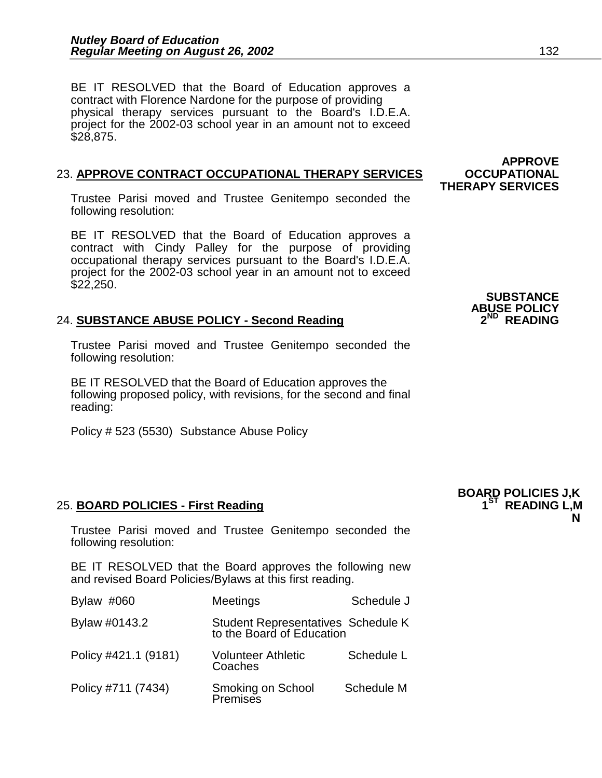BE IT RESOLVED that the Board of Education approves a contract with Florence Nardone for the purpose of providing physical therapy services pursuant to the Board's I.D.E.A. project for the 2002-03 school year in an amount not to exceed \$28,875.

### 23. **APPROVE CONTRACT OCCUPATIONAL THERAPY SERVICES OCCUPATIONAL**

Trustee Parisi moved and Trustee Genitempo seconded the following resolution:

BE IT RESOLVED that the Board of Education approves a contract with Cindy Palley for the purpose of providing occupational therapy services pursuant to the Board's I.D.E.A. project for the 2002-03 school year in an amount not to exceed \$22,250.

## ABUSE POLICY<br>24. SUBSTANCE ABUSE POLICY - Second Reading **2**<sup>ND</sup> READING

Trustee Parisi moved and Trustee Genitempo seconded the following resolution:

BE IT RESOLVED that the Board of Education approves the following proposed policy, with revisions, for the second and final reading:

Policy # 523 (5530) Substance Abuse Policy

### 25. **BOARD POLICIES - First Reading**

 **N**  Trustee Parisi moved and Trustee Genitempo seconded the following resolution:

BE IT RESOLVED that the Board approves the following new and revised Board Policies/Bylaws at this first reading.

| Bylaw #060           | Meetings                                                        | Schedule J |
|----------------------|-----------------------------------------------------------------|------------|
| Bylaw #0143.2        | Student Representatives Schedule K<br>to the Board of Education |            |
| Policy #421.1 (9181) | <b>Volunteer Athletic</b><br>Coaches                            | Schedule L |
| Policy #711 (7434)   | Smoking on School<br>Premises                                   | Schedule M |

**BOARD POLICIES J,K** 

 **APPROVE THERAPY SERVICES** 

**SUBSTANCE ABUSE POLICY**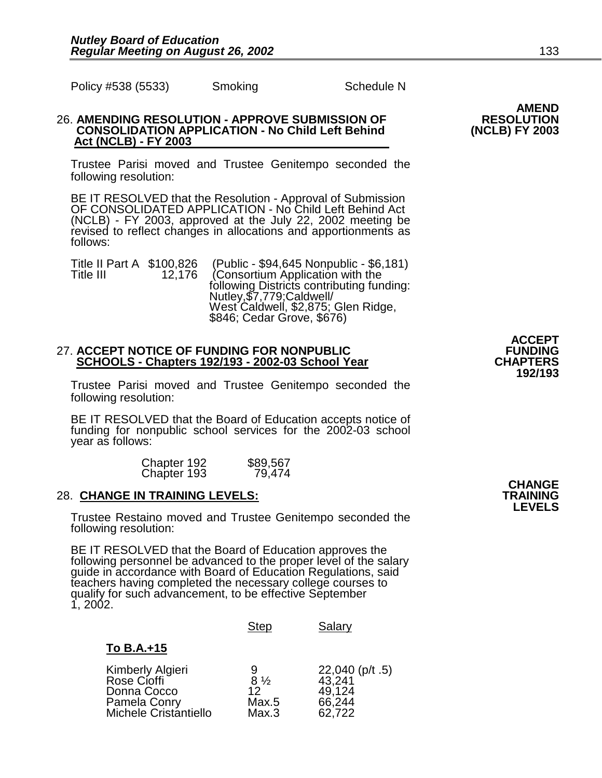Policy #538 (5533) Smoking Schedule N

### 26. **AMENDING RESOLUTION - APPROVE SUBMISSION OF RESOLUTION CONSOLIDATION APPLICATION - No Child Left Behind Act (NCLB) - FY 2003**

Trustee Parisi moved and Trustee Genitempo seconded the following resolution:

BE IT RESOLVED that the Resolution - Approval of Submission OF CONSOLIDATED APPLICATION - No Child Left Behind Act (NCLB) - FY 2003, approved at the July 22, 2002 meeting be revised to reflect changes in allocations and apportionments as follows:

Title II Part A \$100,826 (Public - \$94,645 Nonpublic - \$6,181)<br>Title III 12,176 (Consortium Application with the following Districts contributing funding: Nutley,\$7,779;Caldwell/ West Caldwell, \$2,875; Glen Ridge, \$846; Cedar Grove, \$676)

### 27. ACCEPT NOTICE OF FUNDING FOR NONPUBLIC<br>SCHOOLS - Chapters 192/193 - 2002-03 School Year **FUNDING SCHOOLS - Chapters 192/193 - 2002-03 School Year CHAPTERS 192/193 - 2002-03**

Trustee Parisi moved and Trustee Genitempo seconded the following resolution:

BE IT RESOLVED that the Board of Education accepts notice of funding for nonpublic school services for the 2002-03 school year as follows:

| Chapter 192 | \$89,567 |
|-------------|----------|
| Chapter 193 | 79,474   |

### 28. **CHANGE IN TRAINING LEVELS: TRAINING LEVELS**

Trustee Restaino moved and Trustee Genitempo seconded the following resolution:

BE IT RESOLVED that the Board of Education approves the following personnel be advanced to the proper level of the salary guide in accordance with Board of Education Regulations, said teachers having completed the necessary college courses to qualify for such advancement, to be effective September 1, 2002.

|                                                                                         | <b>Step</b>                                 | Salary                                                    |
|-----------------------------------------------------------------------------------------|---------------------------------------------|-----------------------------------------------------------|
| To B.A.+15                                                                              |                                             |                                                           |
| Kimberly Algieri<br>Rose Cioffi<br>Donna Cocco<br>Pamela Conry<br>Michele Cristantiello | 9<br>$8\frac{1}{2}$<br>12<br>Max.5<br>Max.3 | $22,040$ (p/t .5)<br>43,241<br>49,124<br>66,244<br>62,722 |

**CHANGE CHANGE** 

**AMEND** 

**ACCEPT**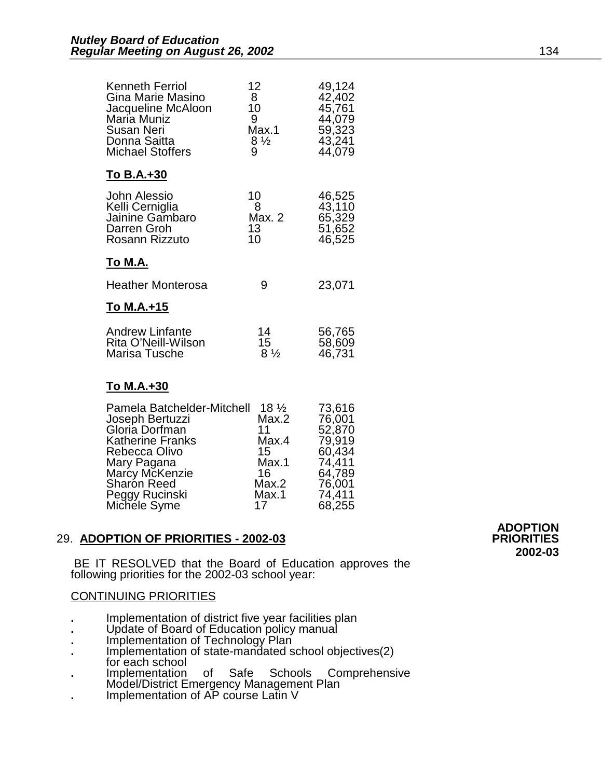| Kenneth Ferriol<br>Gina Marie Masino<br>Jacqueline McAloon<br>Maria Muniz<br>Susan Neri<br>Donna Saitta<br><b>Michael Stoffers</b> | 12<br>8<br>10<br>9<br>Max.1<br>$8\frac{1}{2}$<br>9 | 49,124<br>42,402<br>45,761<br>44,079<br>59,323<br>43,241<br>44,079 |
|------------------------------------------------------------------------------------------------------------------------------------|----------------------------------------------------|--------------------------------------------------------------------|
| To B.A.+30                                                                                                                         |                                                    |                                                                    |
| <b>John Alessio</b><br>Kelli Cerniglia<br>Jainine Gambaro<br>Darren Groh<br>Rosann Rizzuto                                         | 10<br>8<br>Max. 2<br>13<br>10                      | 46,525<br>43,110<br>65,329<br>51,652<br>46,525                     |
| <u>То М.А.</u>                                                                                                                     |                                                    |                                                                    |
| <b>Heather Monterosa</b>                                                                                                           | 9                                                  | 23,071                                                             |
| To M.A.+15                                                                                                                         |                                                    |                                                                    |
| <b>Andrew Linfante</b><br>Rita O'Neill-Wilson<br>Marisa Tusche                                                                     | 14<br>15<br>$8\frac{1}{2}$                         | 56,765<br>58,609<br>46,731                                         |
| To M.A.+30                                                                                                                         |                                                    |                                                                    |
| Pamela Batchelder-Mitchell<br>Joseph Bertuzzi<br>Gloria Dorfman                                                                    | $18\frac{1}{2}$<br>Max.2<br>11                     | 73,616<br>76,001<br>52,870                                         |

| Gloria Dorfman<br><b>Katherine Franks</b> | 11<br>Max.4 | 52,870<br>79,919 |
|-------------------------------------------|-------------|------------------|
| Rebecca Olivo                             | 15          | 60,434           |
| Mary Pagana                               | Max.1       | 74,411           |
| Marcy McKenzie                            | 16          | 64,789           |
| <b>Sharon Reed</b>                        | Max.2       | 76,001           |
| Peggy Rucinski                            | Max.1       | 74,411           |
| Michele Syme                              | 17          | 68,255           |
|                                           |             |                  |

### 29. **ADOPTION OF PRIORITIES - 2002-03 PRIORITIES**

 BE IT RESOLVED that the Board of Education approves the following priorities for the 2002-03 school year:

### CONTINUING PRIORITIES

- 
- 
- 
- Implementation of district five year facilities plan<br>- Update of Board of Education policy manual<br>- Implementation of Technology Plan<br>- Implementation of state-mandated school objectives(2)<br>- for each school
- **.** Implementation of Safe Schools Comprehensive Model/District Emergency Management Plan **.** Implementation of AP course Latin V
- 

 **ADOPTION 2002-03**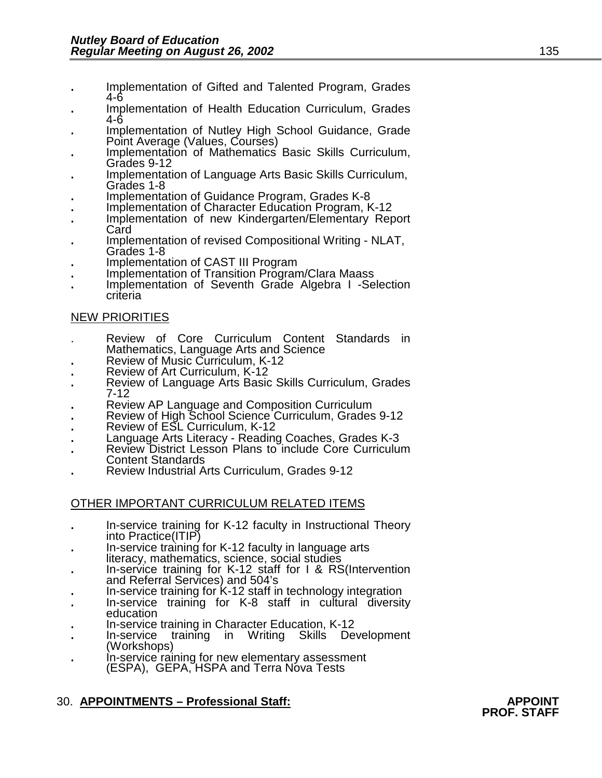- **.** Implementation of Gifted and Talented Program, Grades
- 4-6 **.** Implementation of Health Education Curriculum, Grades
- Implementation of Nutley High School Guidance, Grade<br>Point Average (Values, Courses)
- Implementation of Mathematics Basic Skills Curriculum,<br>Grades 9-12
- Implementation of Language Arts Basic Skills Curriculum,<br>Grades 1-8
- 
- **.** Implementation of Guidance Program, Grades K-8 **.** Implementation of Character Education Program, K-12 **.** Implementation of new Kindergarten/Elementary Report
- Card **.** Implementation of revised Compositional Writing NLAT,
- Grades 1-8
- 
- **.** Implementation of CAST III Program **.** Implementation of Transition Program/Clara Maass
- **.** Implementation of Seventh Grade Algebra I -Selection criteria

### NEW PRIORITIES

- Review of Core Curriculum Content Standards in<br>Mathematics, Language Arts and Science
- 
- 
- Review of Music Curriculum, K-12<br>Review of Art Curriculum, K-12<br>Review of Language Arts Basic Skills Curriculum, Grades<br>7-12
- 
- 
- 
- 
- Review AP Language and Composition Curriculum<br>Review of High School Science Curriculum, Grades 9-12<br>Review of ESL Curriculum, K-12<br>Language Arts Literacy Reading Coaches, Grades K-3<br>Review District Lesson Plans to includ
- Review Industrial Arts Curriculum, Grades 9-12

### OTHER IMPORTANT CURRICULUM RELATED ITEMS

- **.** In-service training for K-12 faculty in Instructional Theory
- In-service training for K-12 faculty in language arts literacy, mathematics, science, social studies
- **.** In-service training for K-12 staff for I & RS(Intervention and Referral Services) and 504's<br>In-service training for K-12 staff in technology integration<br>In-service training for K-8 staff in cultural diversity
- 
- education<br>In-service training in Character Education, K-12<br>In-service training in Writing Skills Development
- 
- (Workshops)<br>In-service raining for new elementary assessment
- (ESPA), GEPA, HSPA and Terra Nova Tests

### 30. **APPOINTMENTS – Professional Staff: APPOINT PROF. STAFF**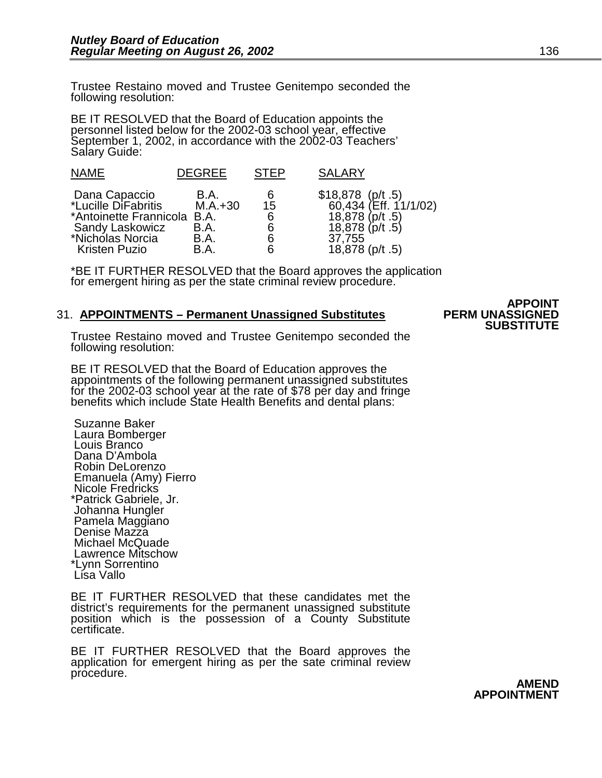Trustee Restaino moved and Trustee Genitempo seconded the following resolution:

BE IT RESOLVED that the Board of Education appoints the personnel listed below for the 2002-03 school year, effective September 1, 2002, in accordance with the 2002-03 Teachers' Salary Guide:

| <b>NAME</b>                                                                                                                   | <b>DEGREE</b>                                            | <b>STEP</b>                 | <b>SALARY</b>                                                                                                   |
|-------------------------------------------------------------------------------------------------------------------------------|----------------------------------------------------------|-----------------------------|-----------------------------------------------------------------------------------------------------------------|
| Dana Capaccio<br>*Lucille DiFabritis<br>*Antoinette Frannicola<br>Sandy Laskowicz<br>*Nicholas Norcia<br><b>Kristen Puzio</b> | B.A.<br>$M.A.+30$<br><b>B.A.</b><br>B.A.<br>B.A.<br>B.A. | 6<br>15<br>6<br>6<br>6<br>6 | \$18,878 (p/t .5)<br>60,434 (Eff. 11/1/02)<br>18,878 (p/t .5)<br>18,878 (p/t .5)<br>37,755<br>$18,878$ (p/t .5) |

\*BE IT FURTHER RESOLVED that the Board approves the application for emergent hiring as per the state criminal review procedure.

### 31. **APPOINTMENTS – Permanent Unassigned Substitutes PERM UNASSIGNED SUBSTITUTE**

# **APPOINT**

Trustee Restaino moved and Trustee Genitempo seconded the following resolution:

BE IT RESOLVED that the Board of Education approves the appointments of the following permanent unassigned substitutes for the 2002-03 school year at the rate of \$78 per day and fringe benefits which include State Health Benefits and dental plans:

 Suzanne Baker Laura Bomberger Louis Branco Dana D'Ambola Robin DeLorenzo Emanuela (Amy) Fierro Nicole Fredricks \*Patrick Gabriele, Jr. Johanna Hungler Pamela Maggiano Denise Mazza Michael McQuade Lawrence Mitschow \*Lynn Sorrentino Lisa Vallo

BE IT FURTHER RESOLVED that these candidates met the district's requirements for the permanent unassigned substitute position which is the possession of a County Substitute certificate.

BE IT FURTHER RESOLVED that the Board approves the application for emergent hiring as per the sate criminal review procedure.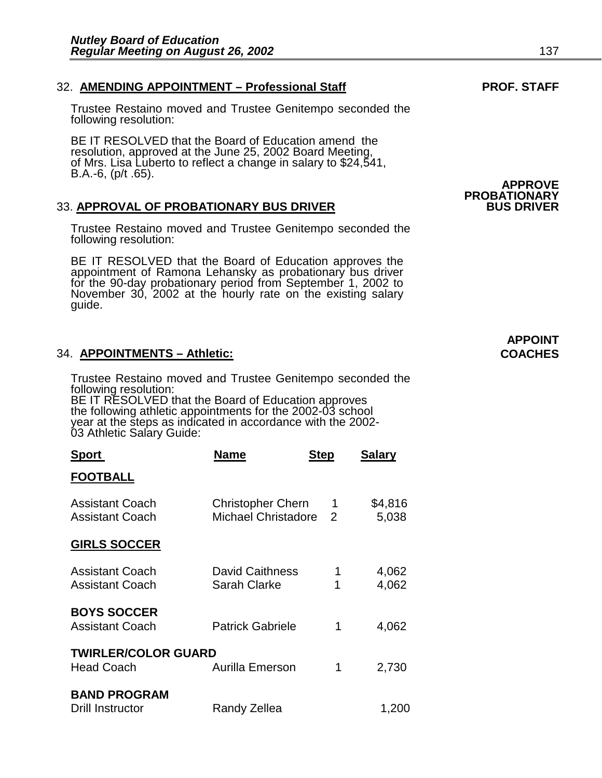### 32. AMENDING APPOINTMENT - Professional Staff **PROF. STAFF**

Trustee Restaino moved and Trustee Genitempo seconded the following resolution:

BE IT RESOLVED that the Board of Education amend the resolution, approved at the June 25, 2002 Board Meeting, of Mrs. Lisa Luberto to reflect a change in salary to \$24,541, B.A.-6, (p/t .65).

### 33. **APPROVAL OF PROBATIONARY BUS DRIVER BUS DRIVER**

Trustee Restaino moved and Trustee Genitempo seconded the following resolution:

BE IT RESOLVED that the Board of Education approves the appointment of Ramona Lehansky as probationary bus driver for the 90-day probationary period from September 1, 2002 to November 30, 2002 at the hourly rate on the existing salary guide.

### 34. **APPOINTMENTS – Athletic: COACHES**

Trustee Restaino moved and Trustee Genitempo seconded the following resolution: BE IT RESOLVED that the Board of Education approves the following athletic appointments for the 2002-03 school year at the steps as indicated in accordance with the 2002- 03 Athletic Salary Guide:

| <b>Sport</b>                                     | Name                                            | <b>Step</b>    | <b>Salary</b>    |
|--------------------------------------------------|-------------------------------------------------|----------------|------------------|
| <b>FOOTBALL</b>                                  |                                                 |                |                  |
| <b>Assistant Coach</b><br><b>Assistant Coach</b> | <b>Christopher Chern</b><br>Michael Christadore | $\overline{2}$ | \$4,816<br>5,038 |
| <b>GIRLS SOCCER</b>                              |                                                 |                |                  |
| <b>Assistant Coach</b><br><b>Assistant Coach</b> | <b>David Caithness</b><br>Sarah Clarke          | 1<br>1         | 4,062<br>4,062   |
| <b>BOYS SOCCER</b><br><b>Assistant Coach</b>     | <b>Patrick Gabriele</b>                         | 1              | 4,062            |
| <b>TWIRLER/COLOR GUARD</b><br><b>Head Coach</b>  | Aurilla Emerson                                 | 1              | 2,730            |
| <b>BAND PROGRAM</b><br><b>Drill Instructor</b>   | Randy Zellea                                    |                | 1,200            |

# **APPROVE PROBATIONARY**

## **APPOINT**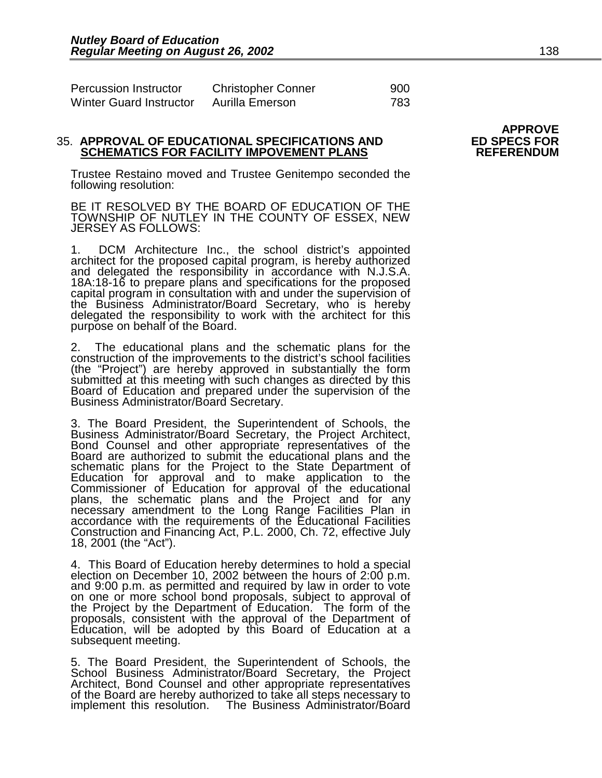| Percussion Instructor          | <b>Christopher Conner</b> | 900 |
|--------------------------------|---------------------------|-----|
| <b>Winter Guard Instructor</b> | Aurilla Emerson           | 783 |

#### 35. **APPROVAL OF EDUCATIONAL SPECIFICATIONS AND ED SPECS FOR SCHEMATICS FOR FACILITY IMPOVEMENT PLANS**

Trustee Restaino moved and Trustee Genitempo seconded the following resolution:

BE IT RESOLVED BY THE BOARD OF EDUCATION OF THE TOWNSHIP OF NUTLEY IN THE COUNTY OF ESSEX, NEW JERSEY AS FOLLOWS:

1. DCM Architecture Inc., the school district's appointed architect for the proposed capital program, is hereby authorized and delegated the responsibility in accordance with N.J.S.A. 18A:18-16 to prepare plans and specifications for the proposed capital program in consultation with and under the supervision of the Business Administrator/Board Secretary, who is hereby delegated the responsibility to work with the architect for this purpose on behalf of the Board. İ

2. The educational plans and the schematic plans for the construction of the improvements to the district's school facilities (the "Project") are hereby approved in substantially the form submitted at this meeting with such changes as directed by this Board of Education and prepared under the supervision of the Business Administrator/Board Secretary.

3. The Board President, the Superintendent of Schools, the Business Administrator/Board Secretary, the Project Architect, Bond Counsel and other appropriate representatives of the Board are authorized to submit the educational plans and the schematic plans for the Project to the State Department of Education for approval and to make application to the Commissioner of Education for approval of the educational plans, the schematic plans and the Project and for any necessary amendment to the Long Range Facilities Plan in accordance with the requirements of the Educational Facilities Construction and Financing Act, P.L. 2000, Ch. 72, effective July 18, 2001 (the "Act").

4. This Board of Education hereby determines to hold a special election on December 10, 2002 between the hours of 2:00 p.m. and 9:00 p.m. as permitted and required by law in order to vote on one or more school bond proposals, subject to approval of the Project by the Department of Education. The form of the proposals, consistent with the approval of the Department of Education, will be adopted by this Board of Education at a subsequent meeting.

5. The Board President, the Superintendent of Schools, the School Business Administrator/Board Secretary, the Project Architect, Bond Counsel and other appropriate representatives of the Board are hereby authorized to take all steps necessary to implement this resolution. The Business Administrator/Board

# **APPROVE**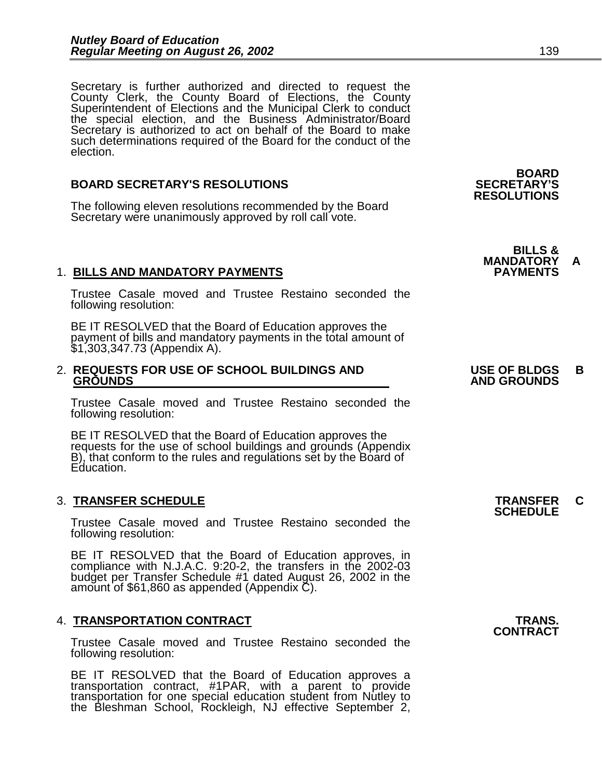Secretary is further authorized and directed to request the County Clerk, the County Board of Elections, the County Superintendent of Elections and the Municipal Clerk to conduct the special election, and the Business Administrator/Board Secretary is authorized to act on behalf of the Board to make such determinations required of the Board for the conduct of the election.

### **BOARD SECRETARY'S RESOLUTIONS SECRETARY'S**

The following eleven resolutions recommended by the Board Secretary were unanimously approved by roll call vote.

### 1. **BILLS AND MANDATORY PAYMENTS PAYMENTS**

Trustee Casale moved and Trustee Restaino seconded the following resolution:

BE IT RESOLVED that the Board of Education approves the payment of bills and mandatory payments in the total amount of \$1,303,347.73 (Appendix A).

#### 2. **REQUESTS FOR USE OF SCHOOL BUILDINGS AND USE OF BLDGS B GROUNDS** AND GROUNDS AND GROUNDS AND GROUNDS

Trustee Casale moved and Trustee Restaino seconded the following resolution:

BE IT RESOLVED that the Board of Education approves the requests for the use of school buildings and grounds (Appendix B), that conform to the rules and regulations set by the Board of Education.

### 3. **TRANSFER SCHEDULE TRANSFER C SCHEDULE**

Trustee Casale moved and Trustee Restaino seconded the following resolution:

BE IT RESOLVED that the Board of Education approves, in compliance with N.J.A.C. 9:20-2, the transfers in the 2002-03 budget per Transfer Schedule #1 dated August 26, 2002 in the amount of \$61,860 as appended (Appendix C).

### 4. **TRANSPORTATION CONTRACT TRANS. CONTRACT**

Trustee Casale moved and Trustee Restaino seconded the following resolution:

BE IT RESOLVED that the Board of Education approves a transportation contract, #1PAR, with a parent to provide transportation for one special education student from Nutley to the Bleshman School, Rockleigh, NJ effective September 2,

 **BOARD RESOLUTIONS** 

**BILLS & MANDATORY A**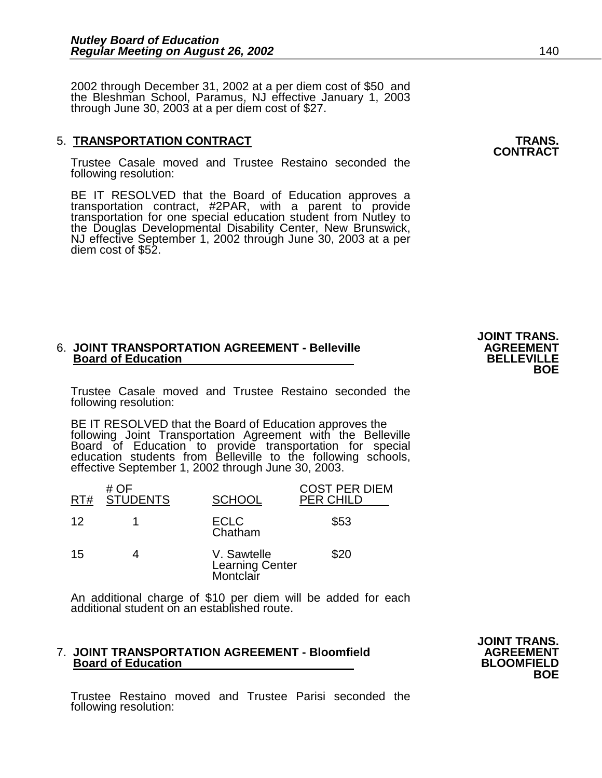2002 through December 31, 2002 at a per diem cost of \$50 and the Bleshman School, Paramus, NJ effective January 1, 2003 through June 30, 2003 at a per diem cost of \$27.

### 5. **TRANSPORTATION CONTRACT TRANS. CONTRACT**

Trustee Casale moved and Trustee Restaino seconded the following resolution:

BE IT RESOLVED that the Board of Education approves a transportation contract, #2PAR, with a parent to provide transportation for one special education student from Nutley to the Douglas Developmental Disability Center, New Brunswick, NJ effective September 1, 2002 through June 30, 2003 at a per diem cost of \$52.

### 6. **JOINT TRANSPORTATION AGREEMENT - Belleville AGREEMENT AGREEMENT**<br>Board of Education **BELLEVILLE Board of Education BELLEVILLE BOE**

Trustee Casale moved and Trustee Restaino seconded the following resolution:

BE IT RESOLVED that the Board of Education approves the following Joint Transportation Agreement with the Belleville Board of Education to provide transportation for special education students from Belleville to the following schools, effective September 1, 2002 through June 30, 2003.

| RT# | # OF<br><b>STUDENTS</b> | <b>SCHOOL</b>                               | <b>COST PER DIEM</b><br><b>PER CHILD</b> |
|-----|-------------------------|---------------------------------------------|------------------------------------------|
| 12  |                         | <b>ECLC</b><br>Chatham                      | \$53                                     |
| 15  |                         | V. Sawtelle<br>Learning Center<br>Montclair | \$20                                     |

An additional charge of \$10 per diem will be added for each additional student on an established route.

### 7. **JOINT TRANSPORTATION AGREEMENT - Bloomfield AGREEMENT**<br>Board of Education BLOOMFIELD  **Board of Education BLOOMFIELD BOE**

Trustee Restaino moved and Trustee Parisi seconded the following resolution:

**JOINT TRANS.**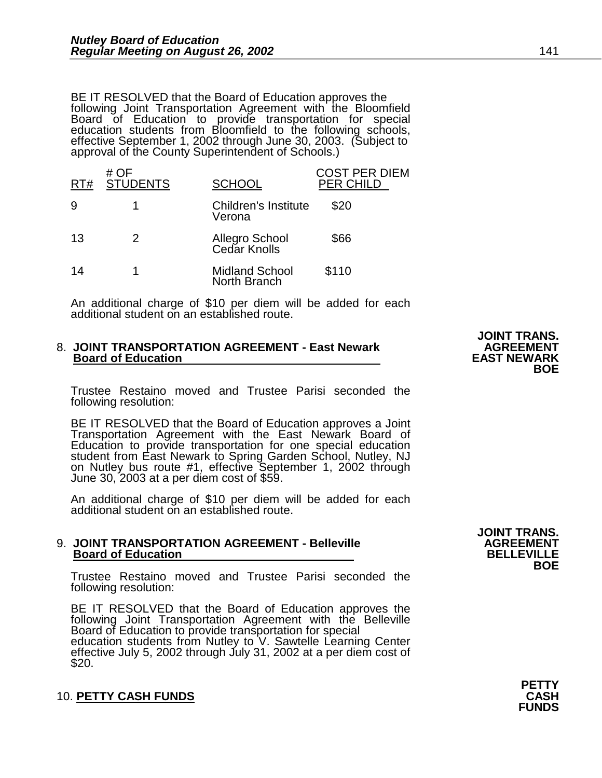BE IT RESOLVED that the Board of Education approves the following Joint Transportation Agreement with the Bloomfield Board of Education to provide transportation for special education students from Bloomfield to the following schools, effective September 1, 2002 through June 30, 2003. (Subject to approval of the County Superintendent of Schools.)

| RT# | # $OF$<br><b>STUDENTS</b> | <b>SCHOOL</b>                         | COST PER DIEM<br><b>PER CHILD</b> |
|-----|---------------------------|---------------------------------------|-----------------------------------|
| 9   |                           | <b>Children's Institute</b><br>Verona | \$20                              |
| 13  | 2                         | Allegro School<br>Cedar Knolls        | \$66                              |
| 14  |                           | <b>Midland School</b><br>North Branch | \$110                             |

An additional charge of \$10 per diem will be added for each additional student on an established route.

### 8. **JOINT TRANSPORTATION AGREEMENT - East Newark 6. JOINT TRANSPORTATION AGREEMENT**<br>EAST NEWARK **Board of Education Example 20 EXST NEWARK**<br>BOE **BOE**

Trustee Restaino moved and Trustee Parisi seconded the following resolution:

BE IT RESOLVED that the Board of Education approves a Joint Transportation Agreement with the East Newark Board of Education to provide transportation for one special education student from East Newark to Spring Garden School, Nutley, NJ on Nutley bus route #1, effective September 1, 2002 through June 30, 2003 at a per diem cost of \$59.

An additional charge of \$10 per diem will be added for each additional student on an established route.

### 9. **JOINT TRANSPORTATION AGREEMENT - Belleville AGREEMENT Board of Education BELLEVILLE BOE**

Trustee Restaino moved and Trustee Parisi seconded the following resolution:

BE IT RESOLVED that the Board of Education approves the following Joint Transportation Agreement with the Belleville Board of Education to provide transportation for special education students from Nutley to V. Sawtelle Learning Center effective July 5, 2002 through July 31, 2002 at a per diem cost of \$20.

**JOINT TRANS.** 

10. **PETTY CASH FUNDS CASH FUNDS** 

**JOINT TRANS.**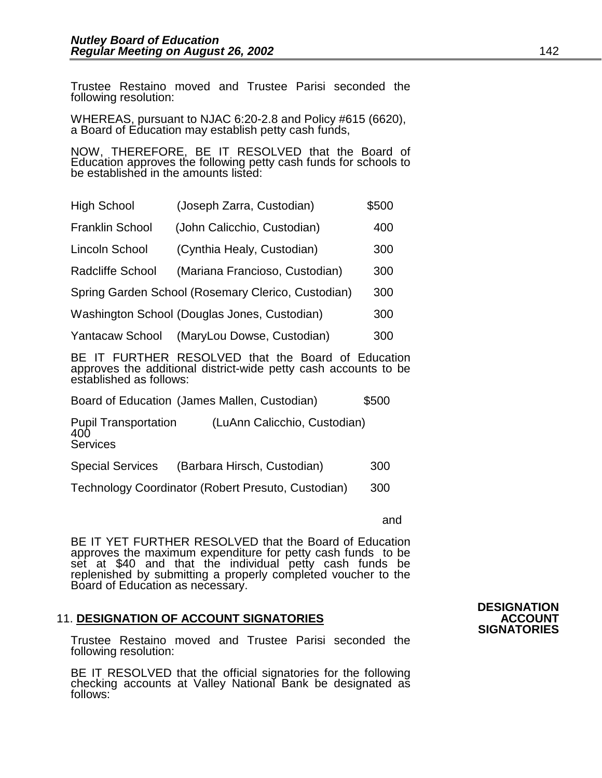Trustee Restaino moved and Trustee Parisi seconded the following resolution:

WHEREAS, pursuant to NJAC 6:20-2.8 and Policy #615 (6620), a Board of Education may establish petty cash funds,

NOW, THEREFORE, BE IT RESOLVED that the Board of Education approves the following petty cash funds for schools to be established in the amounts listed:

| <b>High School</b>      | (Joseph Zarra, Custodian)                          | \$500 |
|-------------------------|----------------------------------------------------|-------|
| <b>Franklin School</b>  | (John Calicchio, Custodian)                        | 400   |
| Lincoln School          | (Cynthia Healy, Custodian)                         | 300   |
| <b>Radcliffe School</b> | (Mariana Francioso, Custodian)                     | 300   |
|                         | Spring Garden School (Rosemary Clerico, Custodian) | 300   |
|                         | Washington School (Douglas Jones, Custodian)       | 300   |
| <b>Yantacaw School</b>  | (MaryLou Dowse, Custodian)                         | 300   |

BE IT FURTHER RESOLVED that the Board of Education approves the additional district-wide petty cash accounts to be established as follows:

Board of Education (James Mallen, Custodian) \$500

Pupil Transportation (LuAnn Calicchio, Custodian) 400 **Services** 

Special Services (Barbara Hirsch, Custodian) 300

Technology Coordinator (Robert Presuto, Custodian) 300

and

BE IT YET FURTHER RESOLVED that the Board of Education approves the maximum expenditure for petty cash funds to be set at \$40 and that the individual petty cash funds be replenished by submitting a properly completed voucher to the Board of Education as necessary.

### 11. **DESIGNATION OF ACCOUNT SIGNATORIES ACCOUNT SIGNATORIES**

Trustee Restaino moved and Trustee Parisi seconded the following resolution:

BE IT RESOLVED that the official signatories for the following checking accounts at Valley National Bank be designated as follows:

# **DESIGNATION**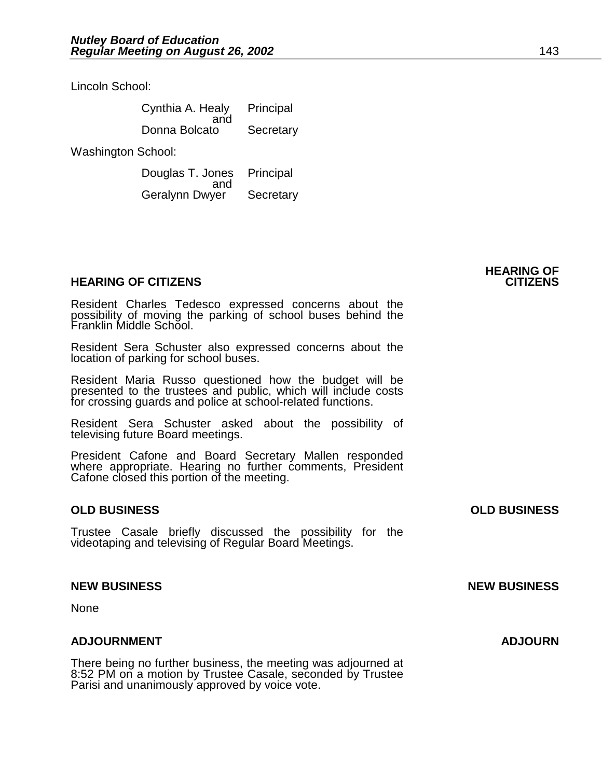Lincoln School:

| Cynthia A. Healy<br>and | Principal |
|-------------------------|-----------|
| Donna Bolcato           | Secretary |

Washington School:

 Douglas T. Jones Principal and and state and state and state and state and state and state and state and state and state and state and sta Geralynn Dwyer Secretary

### **HEARING OF CITIZENS CITIZENS**

Resident Charles Tedesco expressed concerns about the possibility of moving the parking of school buses behind the Franklin Middle School.

Resident Sera Schuster also expressed concerns about the location of parking for school buses.

Resident Maria Russo questioned how the budget will be presented to the trustees and public, which will include costs for crossing guards and police at school-related functions.

Resident Sera Schuster asked about the possibility of televising future Board meetings.

President Cafone and Board Secretary Mallen responded where appropriate. Hearing no further comments, President Cafone closed this portion of the meeting.

### **OLD BUSINESS OLD BUSINESS**

Trustee Casale briefly discussed the possibility for the videotaping and televising of Regular Board Meetings.

### **NEW BUSINESS NEW BUSINESS**

None

### **ADJOURNMENT ADJOURN**

There being no further business, the meeting was adjourned at 8:52 PM on a motion by Trustee Casale, seconded by Trustee Parisi and unanimously approved by voice vote.

**HEARING OF**